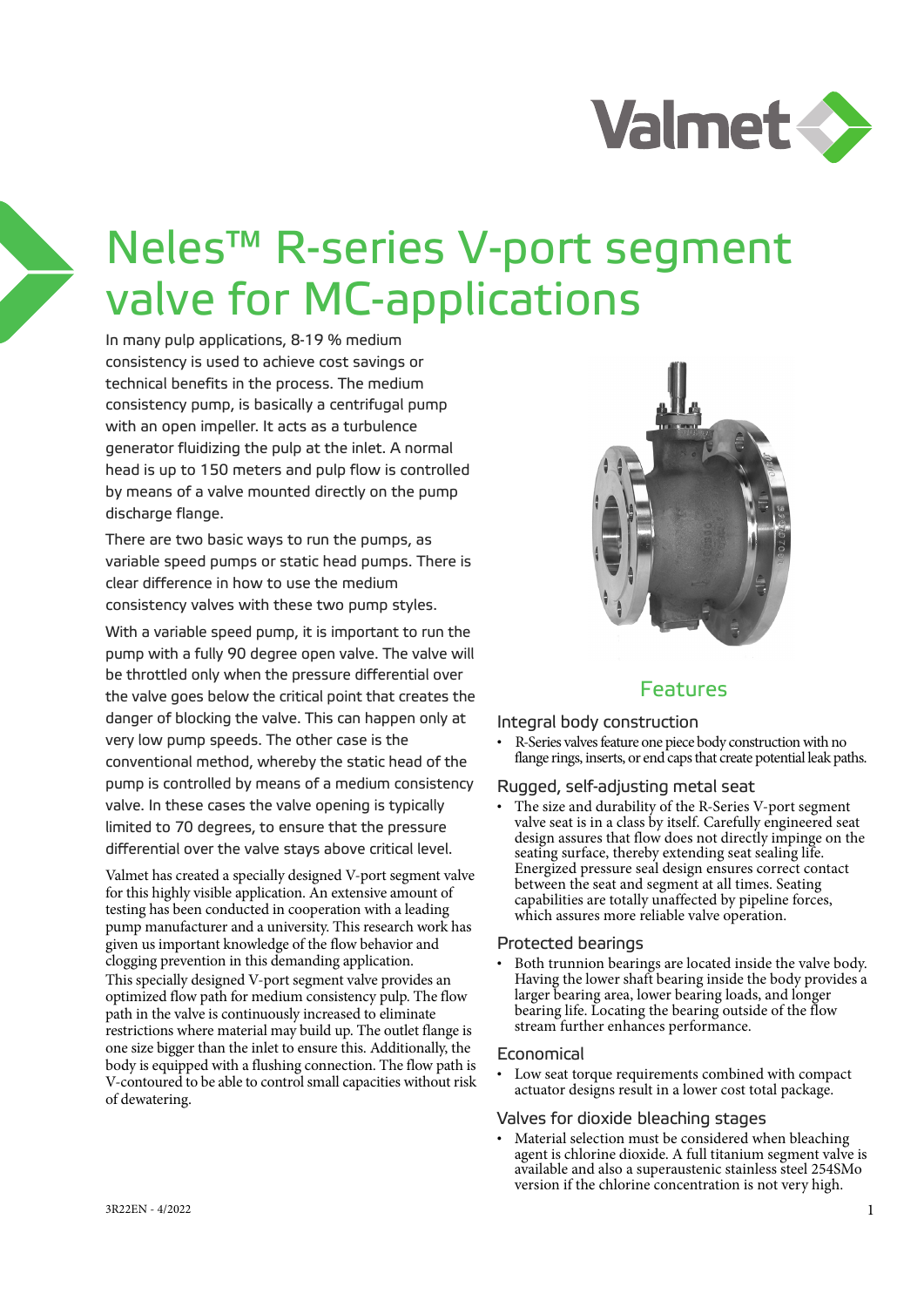

# Neles™ R-series V-port segment valve for MC-applications

In many pulp applications, 8-19 % medium consistency is used to achieve cost savings or technical benefits in the process. The medium consistency pump, is basically a centrifugal pump with an open impeller. It acts as a turbulence generator fluidizing the pulp at the inlet. A normal head is up to 150 meters and pulp flow is controlled by means of a valve mounted directly on the pump discharge flange.

There are two basic ways to run the pumps, as variable speed pumps or static head pumps. There is clear difference in how to use the medium consistency valves with these two pump styles.

With a variable speed pump, it is important to run the pump with a fully 90 degree open valve. The valve will be throttled only when the pressure differential over the valve goes below the critical point that creates the danger of blocking the valve. This can happen only at very low pump speeds. The other case is the conventional method, whereby the static head of the pump is controlled by means of a medium consistency valve. In these cases the valve opening is typically limited to 70 degrees, to ensure that the pressure differential over the valve stays above critical level.

Valmet has created a specially designed V-port segment valve for this highly visible application. An extensive amount of testing has been conducted in cooperation with a leading pump manufacturer and a university. This research work has given us important knowledge of the flow behavior and clogging prevention in this demanding application. This specially designed V-port segment valve provides an optimized flow path for medium consistency pulp. The flow path in the valve is continuously increased to eliminate restrictions where material may build up. The outlet flange is one size bigger than the inlet to ensure this. Additionally, the body is equipped with a flushing connection. The flow path is V-contoured to be able to control small capacities without risk of dewatering.



## Features

Integral body construction

• R-Series valves feature one piece body construction with no flange rings, inserts, or end caps that create potential leak paths.

#### Rugged, self-adjusting metal seat

The size and durability of the R-Series V-port segment valve seat is in a class by itself. Carefully engineered seat design assures that flow does not directly impinge on the seating surface, thereby extending seat sealing life. Energized pressure seal design ensures correct contact between the seat and segment at all times. Seating capabilities are totally unaffected by pipeline forces, which assures more reliable valve operation.

#### Protected bearings

Both trunnion bearings are located inside the valve body. Having the lower shaft bearing inside the body provides a larger bearing area, lower bearing loads, and longer bearing life. Locating the bearing outside of the flow stream further enhances performance.

#### Economical

• Low seat torque requirements combined with compact actuator designs result in a lower cost total package.

#### Valves for dioxide bleaching stages

• Material selection must be considered when bleaching agent is chlorine dioxide. A full titanium segment valve is available and also a superaustenic stainless steel 254SMo version if the chlorine concentration is not very high.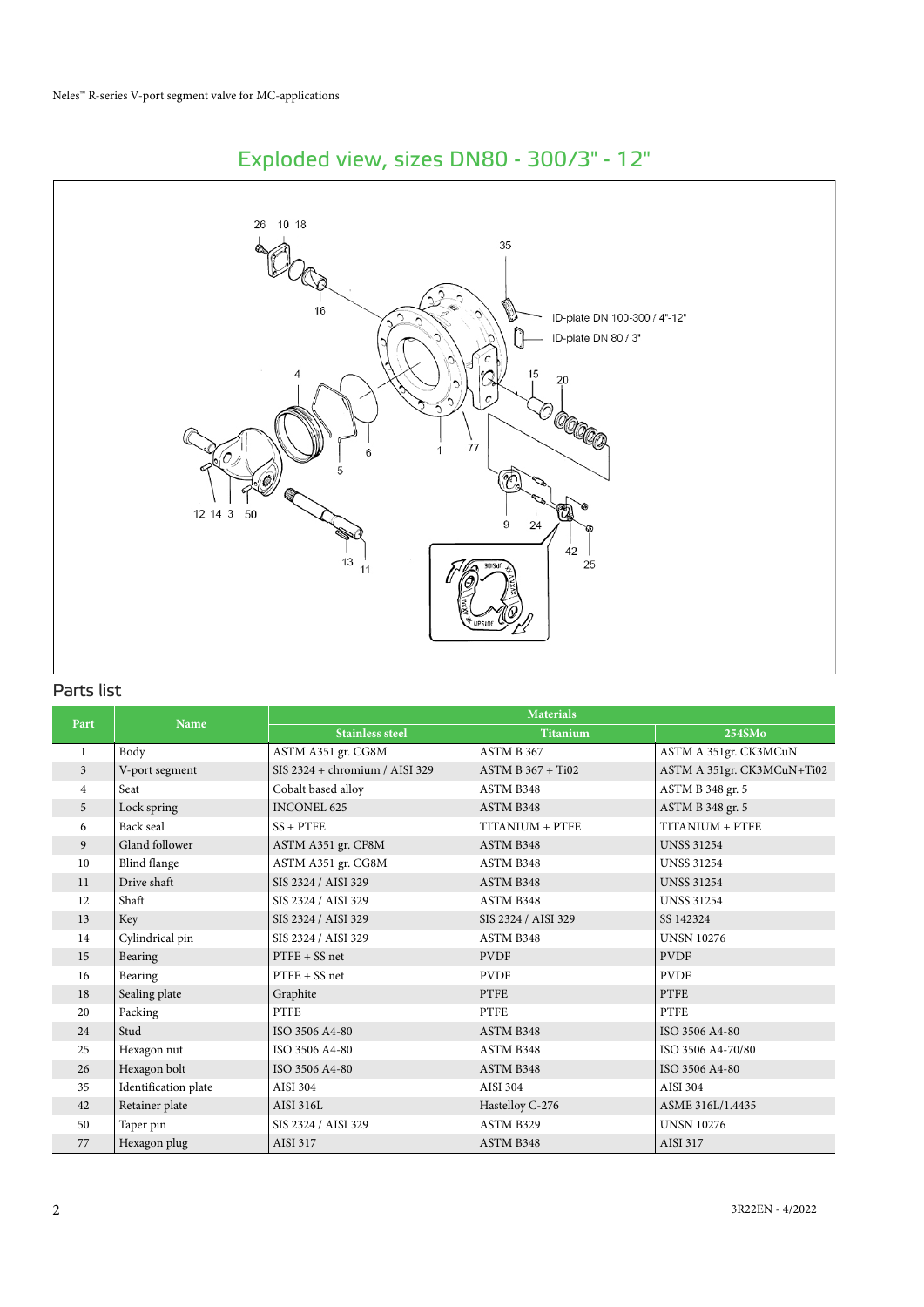

# Exploded view, sizes DN80 - 300/3" - 12"

### Parts list

| Part             | <b>Name</b>          |                                  | <b>Materials</b>    |                            |  |  |  |  |  |
|------------------|----------------------|----------------------------------|---------------------|----------------------------|--|--|--|--|--|
|                  |                      | <b>Stainless steel</b>           | <b>Titanium</b>     | 254SMo                     |  |  |  |  |  |
| 1                | Body                 | ASTM A351 gr. CG8M               | ASTM B 367          | ASTM A 351gr. CK3MCuN      |  |  |  |  |  |
| 3                | V-port segment       | $SIS 2324 + chromium / AISI 329$ | $ASTM B 367 + Ti02$ | ASTM A 351gr. CK3MCuN+Ti02 |  |  |  |  |  |
| 4                | Seat                 | Cobalt based alloy               | ASTM B348           | ASTM B 348 gr. 5           |  |  |  |  |  |
| 5                | Lock spring          | <b>INCONEL 625</b>               | ASTM B348           | ASTM B 348 gr. 5           |  |  |  |  |  |
| 6                | Back seal            | $SS + PTFE$                      | TITANIUM + PTFE     | TITANIUM + PTFE            |  |  |  |  |  |
| 9                | Gland follower       | ASTM A351 gr. CF8M               | ASTM B348           | <b>UNSS 31254</b>          |  |  |  |  |  |
| 10 <sup>10</sup> | Blind flange         | ASTM A351 gr. CG8M               | ASTM B348           | <b>UNSS 31254</b>          |  |  |  |  |  |
| 11               | Drive shaft          | SIS 2324 / AISI 329              | ASTM B348           | <b>UNSS 31254</b>          |  |  |  |  |  |
| 12               | Shaft                | SIS 2324 / AISI 329              | ASTM B348           | <b>UNSS 31254</b>          |  |  |  |  |  |
| 13               | Key                  | SIS 2324 / AISI 329              | SIS 2324 / AISI 329 | SS 142324                  |  |  |  |  |  |
| 14               | Cylindrical pin      | SIS 2324 / AISI 329              | ASTM B348           | <b>UNSN 10276</b>          |  |  |  |  |  |
| 15               | Bearing              | $PTFE + SS$ net                  | <b>PVDF</b>         | <b>PVDF</b>                |  |  |  |  |  |
| 16               | Bearing              | $PTFE + SS$ net                  | <b>PVDF</b>         | <b>PVDF</b>                |  |  |  |  |  |
| 18               | Sealing plate        | Graphite                         | <b>PTFE</b>         | <b>PTFE</b>                |  |  |  |  |  |
| 20               | Packing              | PTFE                             | <b>PTFE</b>         | <b>PTFE</b>                |  |  |  |  |  |
| 24               | Stud                 | ISO 3506 A4-80                   | ASTM B348           | ISO 3506 A4-80             |  |  |  |  |  |
| 25               | Hexagon nut          | ISO 3506 A4-80                   | ASTM B348           | ISO 3506 A4-70/80          |  |  |  |  |  |
| 26               | Hexagon bolt         | ISO 3506 A4-80                   | ASTM B348           | ISO 3506 A4-80             |  |  |  |  |  |
| 35               | Identification plate | AISI 304                         | AISI 304            | AISI 304                   |  |  |  |  |  |
| 42               | Retainer plate       | AISI 316L                        | Hastelloy C-276     | ASME 316L/1.4435           |  |  |  |  |  |
| 50               | Taper pin            | SIS 2324 / AISI 329              | ASTM B329           | <b>UNSN 10276</b>          |  |  |  |  |  |
| 77               | Hexagon plug         | <b>AISI 317</b>                  | ASTM B348           | <b>AISI 317</b>            |  |  |  |  |  |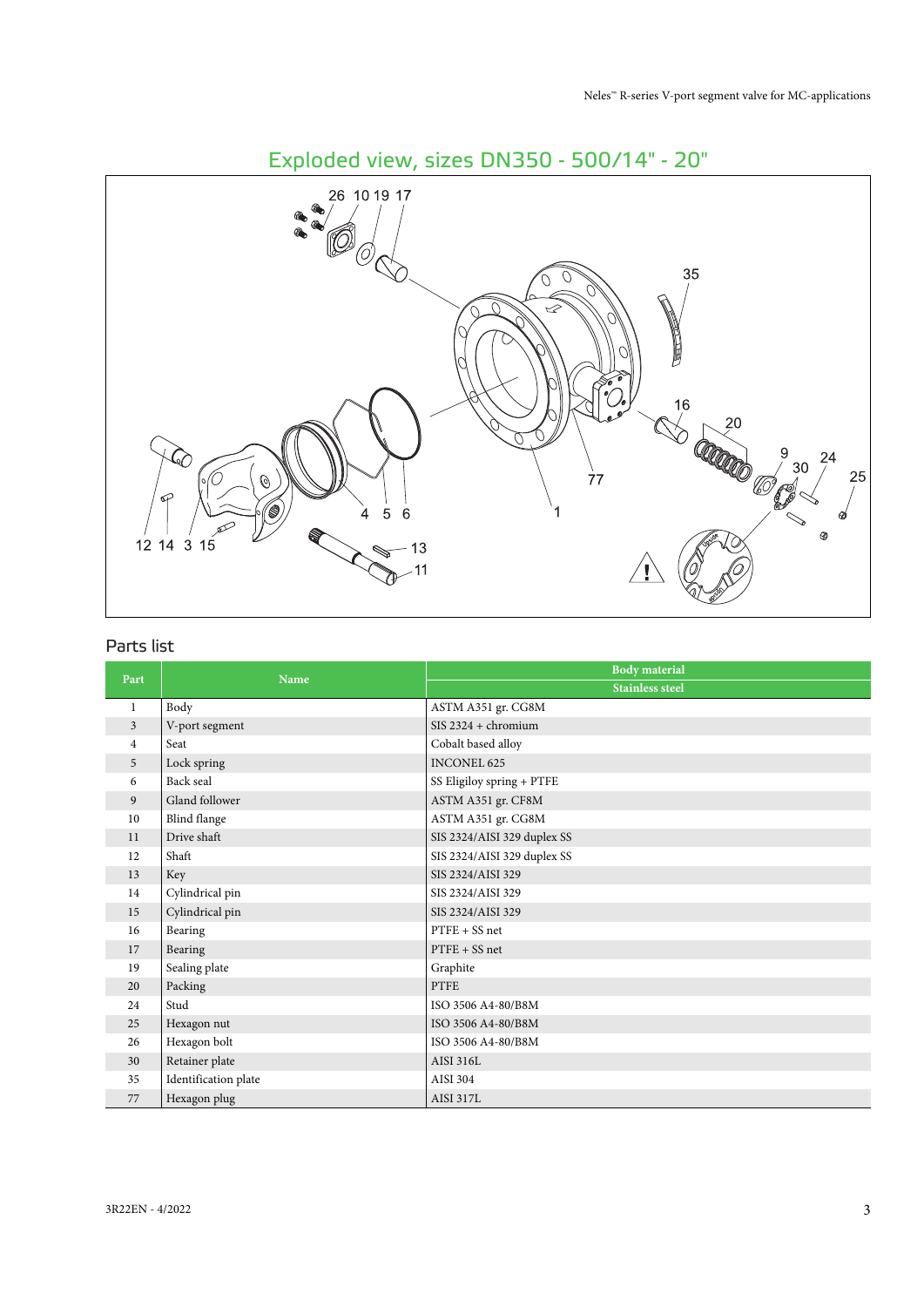

## Parts list

| Part           | <b>Name</b>          | <b>Body</b> material        |
|----------------|----------------------|-----------------------------|
|                |                      | <b>Stainless steel</b>      |
| 1              | Body                 | ASTM A351 gr. CG8M          |
| $\mathfrak{Z}$ | V-port segment       | $SIS 2324 + chromium$       |
| 4              | Seat                 | Cobalt based alloy          |
| 5              | Lock spring          | <b>INCONEL 625</b>          |
| 6              | Back seal            | SS Eligiloy spring + PTFE   |
| 9              | Gland follower       | ASTM A351 gr. CF8M          |
| 10             | Blind flange         | ASTM A351 gr. CG8M          |
| 11             | Drive shaft          | SIS 2324/AISI 329 duplex SS |
| 12             | Shaft                | SIS 2324/AISI 329 duplex SS |
| 13             | Key                  | SIS 2324/AISI 329           |
| 14             | Cylindrical pin      | SIS 2324/AISI 329           |
| 15             | Cylindrical pin      | SIS 2324/AISI 329           |
| 16             | Bearing              | $PTFE + SS$ net             |
| 17             | Bearing              | $PTFE + SS$ net             |
| 19             | Sealing plate        | Graphite                    |
| 20             | Packing              | <b>PTFE</b>                 |
| 24             | Stud                 | ISO 3506 A4-80/B8M          |
| 25             | Hexagon nut          | ISO 3506 A4-80/B8M          |
| 26             | Hexagon bolt         | ISO 3506 A4-80/B8M          |
| 30             | Retainer plate       | <b>AISI 316L</b>            |
| 35             | Identification plate | AISI 304                    |
| 77             | Hexagon plug         | <b>AISI 317L</b>            |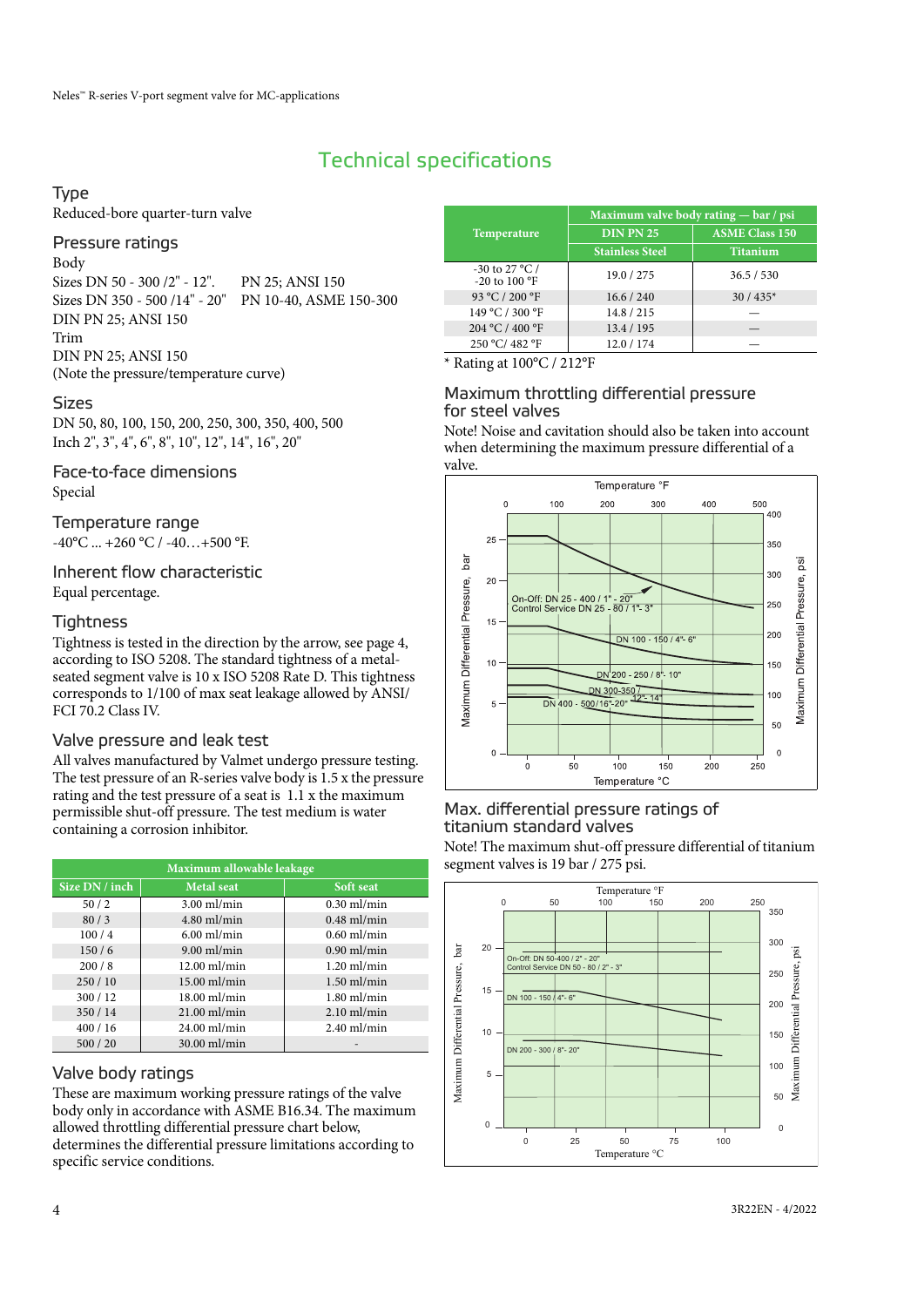# Technical specifications

#### Type

Reduced-bore quarter-turn valve

#### Pressure ratings

Body Sizes DN 50 - 300 /2" - 12". PN 25; ANSI 150 Sizes DN 350 - 500 /14" - 20" PN 10-40, ASME 150-300 DIN PN 25; ANSI 150 Trim DIN PN 25; ANSI 150 (Note the pressure/temperature curve)

#### Sizes

DN 50, 80, 100, 150, 200, 250, 300, 350, 400, 500 Inch 2", 3", 4", 6", 8", 10", 12", 14", 16", 20"

Face-to-face dimensions Special

Temperature range  $-40^{\circ}$ C ...  $+260^{\circ}$ C /  $-40...+500^{\circ}$ F.

#### Inherent flow characteristic Equal percentage.

#### **Tightness**

Tightness is tested in the direction by the arrow, see page 4, according to ISO 5208. The standard tightness of a metalseated segment valve is 10 x ISO 5208 Rate D. This tightness corresponds to 1/100 of max seat leakage allowed by ANSI/ FCI 70.2 Class IV.

#### Valve pressure and leak test

All valves manufactured by Valmet undergo pressure testing. The test pressure of an R-series valve body is 1.5 x the pressure rating and the test pressure of a seat is 1.1 x the maximum permissible shut-off pressure. The test medium is water containing a corrosion inhibitor.

| Maximum allowable leakage |                   |               |  |  |  |  |  |  |  |
|---------------------------|-------------------|---------------|--|--|--|--|--|--|--|
| Size DN / inch            | <b>Metal</b> seat | Soft seat     |  |  |  |  |  |  |  |
| 50/2                      | $3.00$ ml/min     | $0.30$ ml/min |  |  |  |  |  |  |  |
| 80/3                      | $4.80$ ml/min     | $0.48$ ml/min |  |  |  |  |  |  |  |
| 100/4                     | $6.00$ ml/min     | $0.60$ ml/min |  |  |  |  |  |  |  |
| 150/6                     | $9.00$ ml/min     | $0.90$ ml/min |  |  |  |  |  |  |  |
| 200/8                     | $12.00$ ml/min    | $1.20$ ml/min |  |  |  |  |  |  |  |
| 250/10                    | $15.00$ ml/min    | $1.50$ ml/min |  |  |  |  |  |  |  |
| 300/12                    | $18.00$ ml/min    | $1.80$ ml/min |  |  |  |  |  |  |  |
| 350 / 14                  | $21.00$ ml/min    | $2.10$ ml/min |  |  |  |  |  |  |  |
| 400/16                    | $24.00$ ml/min    | $2.40$ ml/min |  |  |  |  |  |  |  |
| 500/20                    | 30.00 ml/min      |               |  |  |  |  |  |  |  |

#### Valve body ratings

These are maximum working pressure ratings of the valve body only in accordance with ASME B16.34. The maximum allowed throttling differential pressure chart below, determines the differential pressure limitations according to specific service conditions.

|                                                             | Maximum valve body rating $-$ bar / psi |                       |  |  |  |  |  |  |  |
|-------------------------------------------------------------|-----------------------------------------|-----------------------|--|--|--|--|--|--|--|
| <b>Temperature</b>                                          | <b>DIN PN 25</b>                        | <b>ASME Class 150</b> |  |  |  |  |  |  |  |
|                                                             | <b>Stainless Steel</b>                  | <b>Titanium</b>       |  |  |  |  |  |  |  |
| -30 to 27 $^{\circ}$ C /<br>-20 to 100 $\mathrm{^{\circ}F}$ | 19.0 / 275                              | 36.5 / 530            |  |  |  |  |  |  |  |
| 93 °C / 200 °F                                              | 16.6 / 240                              | $30/435*$             |  |  |  |  |  |  |  |
| 149 °C / 300 °F                                             | 14.8 / 215                              |                       |  |  |  |  |  |  |  |
| 204 °C / 400 °F                                             | 13.4 / 195                              |                       |  |  |  |  |  |  |  |
| 250 °C/ 482 °F                                              | 12.0 / 174                              |                       |  |  |  |  |  |  |  |

\* Rating at 100°C / 212°F

#### Maximum throttling differential pressure for steel valves

Note! Noise and cavitation should also be taken into account when determining the maximum pressure differential of a valve.



#### Max. differential pressure ratings of titanium standard valves

Note! The maximum shut-off pressure differential of titanium segment valves is 19 bar / 275 psi.

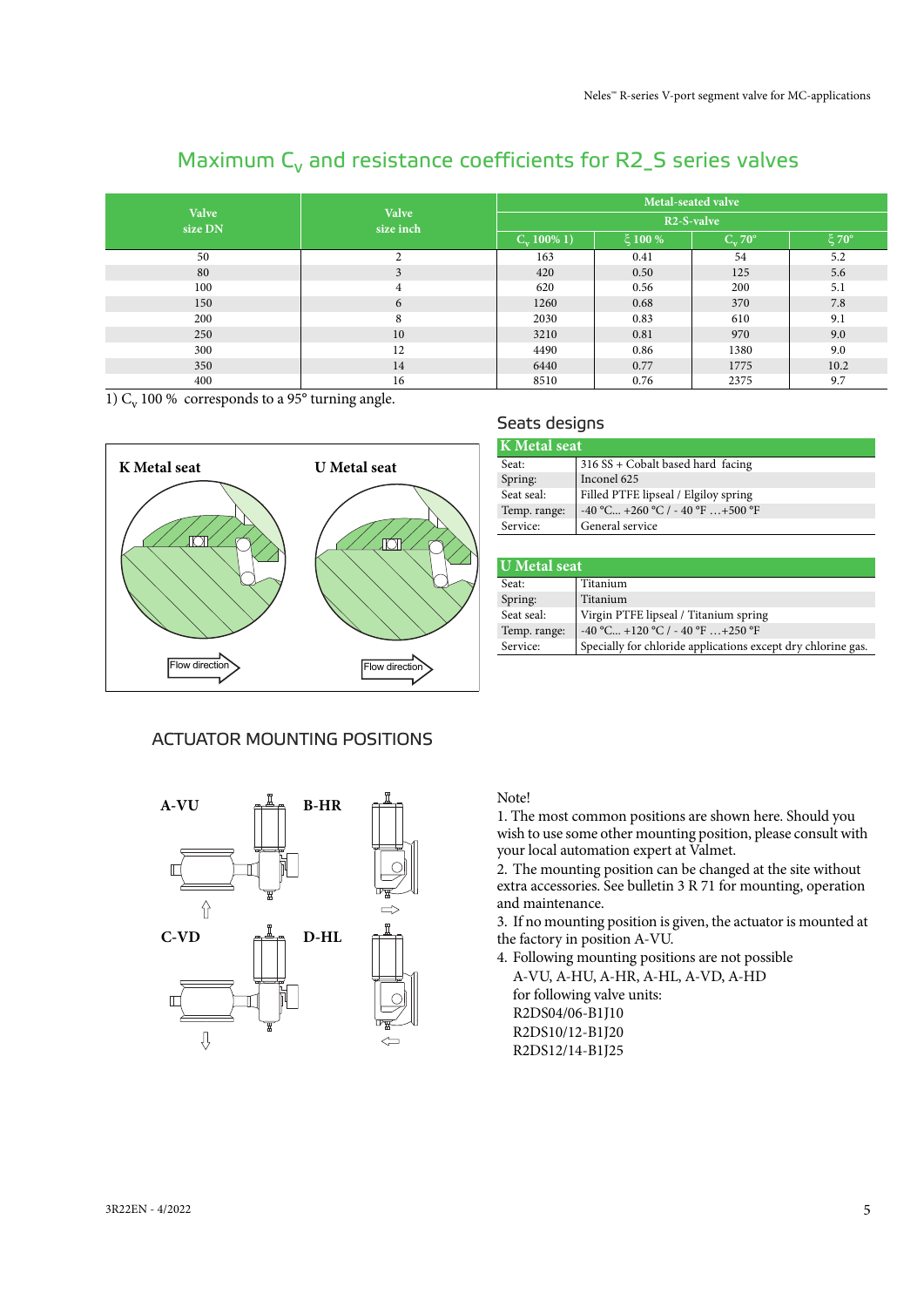#### **Valve size DN Valve size inch Metal-seated valve R2-S-valve**  $C_v 100\% 1$ )  $\begin{array}{|c|c|c|c|c|c|c|c|} \hline \end{array}$   $\begin{array}{|c|c|c|c|c|c|} \hline \end{array}$   $\begin{array}{|c|c|c|c|c|c|c|c|} \hline \end{array}$   $\begin{array}{|c|c|c|c|c|c|} \hline \end{array}$   $\begin{array}{|c|c|c|c|c|c|} \hline \end{array}$   $\begin{array}{|c|c|c|c|c|} \hline \end{array}$   $\begin{array}{|c|c|c|c|c|} \hline$ 50 2 163 0.41 54 5.2 80 3 3 420 0.50 125 5.6 100 100 4 620 0.56 200 5.1 150 1260 1260 0.68 370 7.8 200 8 8 2030 0.83 610 9.1 250 10 10 3210 0.81 970 9.0  $300$  12  $12$  4490 0.86 1380 9.0 350 14 14 6440 0.77 1775 10.2 400 16 16 8510 0.76 2375 9.7

Seats designs

Spring: Inconel 625

Service: General service

Seat: 316 SS + Cobalt based hard facing

Seat seal: Filled PTFE lipseal / Elgiloy spring<br>Temp. range:  $-40^{\circ}$ C... +260 °C / -40 °F... +500 °

Seat seal: Virgin PTFE lipseal / Titanium spring Temp. range: -40 °C... +120 °C / - 40 °F ... +250 °F

 $-40$  °C... +260 °C / - 40 °F ... +500 °F

**K Metal seat**

**U Metal seat** Seat: Titanium Spring: Titanium

# Maximum  $C_v$  and resistance coefficients for R2\_S series valves

1)  $C_v$  100 % corresponds to a 95 $\degree$  turning angle.



# ACTUATOR MOUNTING POSITIONS



# Note!

1. The most common positions are shown here. Should you wish to use some other mounting position, please consult with your local automation expert at Valmet.

Service: Specially for chloride applications except dry chlorine gas.

2. The mounting position can be changed at the site without extra accessories. See bulletin 3 R 71 for mounting, operation and maintenance.

3. If no mounting position is given, the actuator is mounted at the factory in position A-VU.

4. Following mounting positions are not possible A-VU, A-HU, A-HR, A-HL, A-VD, A-HD for following valve units: R2DS04/06-B1J10 R2DS10/12-B1J20 R2DS12/14-B1J25

#### 3R22EN - 4/2022 5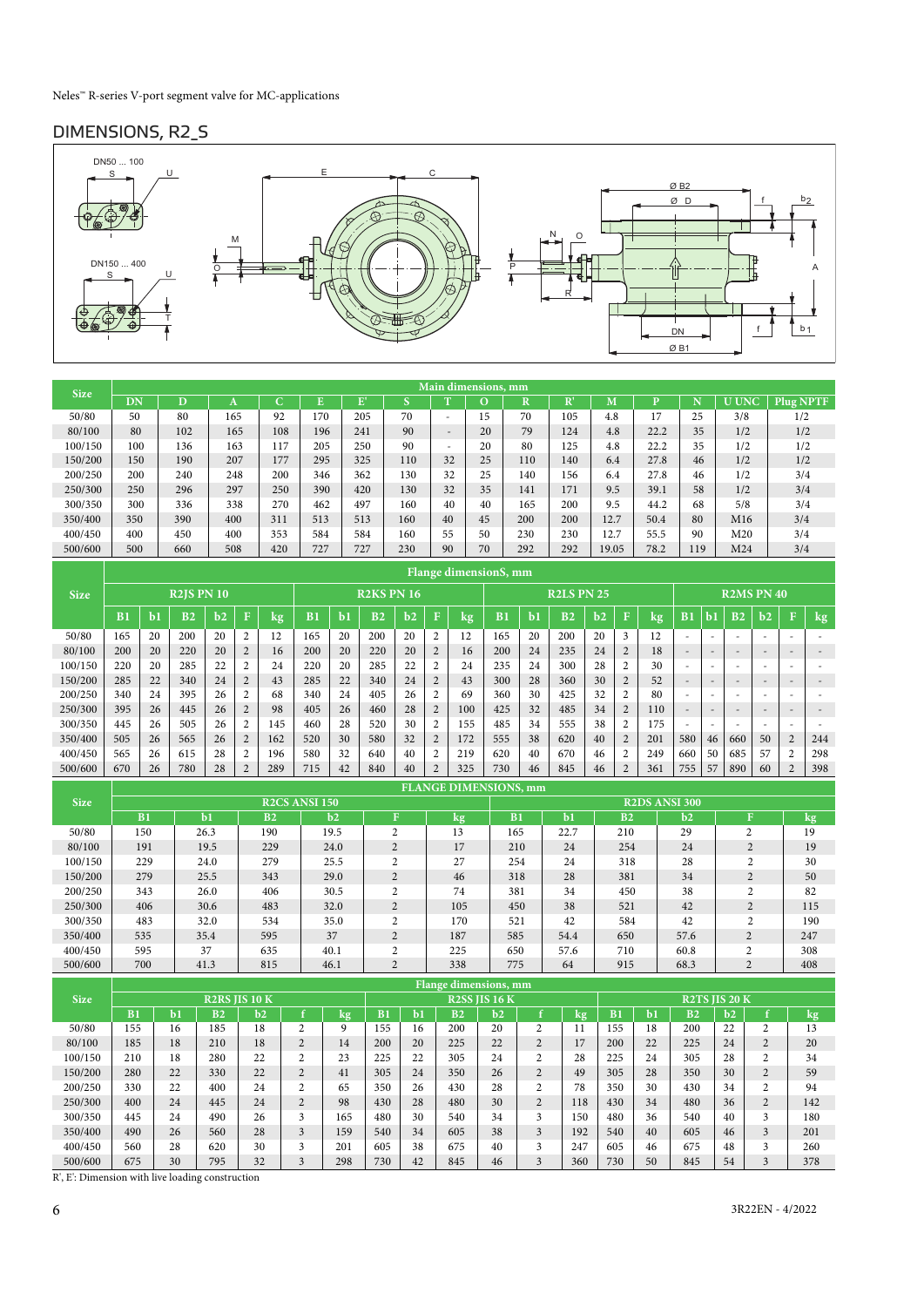## DIMENSIONS, R2\_S



| <b>Size</b> |     |     |     |     |     |     |     |                          | Main dimensions, mm |     |                |       |              |     |              |           |
|-------------|-----|-----|-----|-----|-----|-----|-----|--------------------------|---------------------|-----|----------------|-------|--------------|-----|--------------|-----------|
|             | DN  | D   |     |     | E.  | E'  |     |                          |                     | R   | $\mathbf{R}^*$ | M     | $\mathbf{D}$ | N   | <b>U UNC</b> | Plug NPTF |
| 50/80       | 50  | 80  | 165 | 92  | 170 | 205 | 70  | $\overline{\phantom{a}}$ | 15                  | 70  | 105            | 4.8   | 17           | 25  | 3/8          | 1/2       |
| 80/100      | 80  | 102 | 165 | 108 | 196 | 241 | 90  | $\overline{\phantom{0}}$ | 20                  | 79  | 124            | 4.8   | 22.2         | 35  | 1/2          | 1/2       |
| 100/150     | 100 | 136 | 163 | 117 | 205 | 250 | 90  | -                        | 20                  | 80  | 125            | 4.8   | 22.2         | 35  | 1/2          | 1/2       |
| 150/200     | 150 | 190 | 207 | 177 | 295 | 325 | 110 | 32                       | 25                  | 110 | 140            | 6.4   | 27.8         | 46  | 1/2          | 1/2       |
| 200/250     | 200 | 240 | 248 | 200 | 346 | 362 | 130 | 32                       | 25                  | 140 | 156            | 6.4   | 27.8         | 46  | 1/2          | 3/4       |
| 250/300     | 250 | 296 | 297 | 250 | 390 | 420 | 130 | 32                       | 35                  | 141 | 171            | 9.5   | 39.1         | 58  | 1/2          | 3/4       |
| 300/350     | 300 | 336 | 338 | 270 | 462 | 497 | 160 | 40                       | 40                  | 165 | 200            | 9.5   | 44.2         | 68  | 5/8          | 3/4       |
| 350/400     | 350 | 390 | 400 | 311 | 513 | 513 | 160 | 40                       | 45                  | 200 | 200            | 12.7  | 50.4         | 80  | M16          | 3/4       |
| 400/450     | 400 | 450 | 400 | 353 | 584 | 584 | 160 | 55                       | 50                  | 230 | 230            | 12.7  | 55.5         | 90  | M20          | 3/4       |
| 500/600     | 500 | 660 | 508 | 420 | 727 | 727 | 230 | 90                       | 70                  | 292 | 292            | 19.05 | 78.2         | 119 | M24          | 3/4       |

|             |                |    |                   |              |                |      |     |              |                   |      |                |     | Flange dimensionS, mm |    |                   |      |                |     |                          |    |                          |                          |                          |        |
|-------------|----------------|----|-------------------|--------------|----------------|------|-----|--------------|-------------------|------|----------------|-----|-----------------------|----|-------------------|------|----------------|-----|--------------------------|----|--------------------------|--------------------------|--------------------------|--------|
| <b>Size</b> |                |    | <b>R2IS PN 10</b> |              |                |      |     |              | <b>R2KS PN 16</b> |      |                |     |                       |    | <b>R2LS PN 25</b> |      |                |     |                          |    | <b>R2MS PN 40</b>        |                          |                          |        |
|             | B <sub>1</sub> | ЬI | B <sub>2</sub>    | $\mathbf{h}$ | F              | lkg, | B1  | $\mathbf{b}$ | B <sub>2</sub>    | $b2$ | $\mathbf F$    | kg  | B <sub>1</sub>        | ЪI | B <sub>2</sub>    | $b2$ |                | kg, | B <sub>1</sub>           | b. | B <sub>2</sub>           | $\mathbf{b}$             | $\mathbf F$              | $\log$ |
| 50/80       | 165            | 20 | 200               | 20           | $\overline{2}$ | 12   | 165 | 20           | 200               | 20   | $\overline{2}$ | 12  | 165                   | 20 | 200               | 20   | 3              | 12  | ۰                        |    | $\overline{\phantom{a}}$ |                          |                          |        |
| 80/100      | 200            | 20 | 220               | 20           | $\overline{2}$ | 16   | 200 | 20           | 220               | 20   | $\overline{2}$ | 16  | 200                   | 24 | 235               | 24   | $\overline{2}$ | 18  | $\overline{\phantom{a}}$ |    | $\overline{\phantom{a}}$ |                          | $\overline{\phantom{a}}$ |        |
| 100/150     | 220            | 20 | 285               | 22           | 2              | 24   | 220 | 20           | 285               | 22   | $\overline{2}$ | 24  | 235                   | 24 | 300               | 28   | $\overline{c}$ | 30  | $\sim$                   |    | -                        |                          |                          |        |
| 150/200     | 285            | 22 | 340               | 24           | $\overline{2}$ | 43   | 285 | 22           | 340               | 24   | $\overline{2}$ | 43  | 300                   | 28 | 360               | 30   | $\overline{2}$ | 52  | -                        |    | $\overline{\phantom{a}}$ | $\overline{\phantom{0}}$ | $\overline{\phantom{0}}$ |        |
| 200/250     | 340            | 24 | 395               | 26           | $\overline{2}$ | 68   | 340 | 24           | 405               | 26   | $\overline{2}$ | 69  | 360                   | 30 | 425               | 32   |                | 80  | $\sim$                   |    | ۰                        |                          |                          |        |
| 250/300     | 395            | 26 | 445               | 26           | $\overline{2}$ | 98   | 405 | 26           | 460               | 28   | $\overline{2}$ | 100 | 425                   | 32 | 485               | 34   | $\overline{2}$ | 110 | -                        |    | $\overline{\phantom{a}}$ |                          | $\overline{\phantom{0}}$ |        |
| 300/350     | 445            | 26 | 505               | 26           | $\overline{2}$ | 145  | 460 | 28           | 520               | 30   | $\overline{2}$ | 155 | 485                   | 34 | 555               | 38   | 2              | 175 | $\sim$                   |    | $\sim$                   |                          | $\sim$                   |        |
| 350/400     | 505            | 26 | 565               | 26           | $\overline{2}$ | 162  | 520 | 30           | 580               | 32   | $\overline{2}$ | 172 | 555                   | 38 | 620               | 40   | $\overline{2}$ | 201 | 580                      | 46 | 660                      | 50                       | $\overline{2}$           | 244    |
| 400/450     | 565            | 26 | 615               | 28           | $\overline{2}$ | 196  | 580 | 32           | 640               | 40   | $\overline{2}$ | 219 | 620                   | 40 | 670               | 46   | 2              | 249 | 660                      | 50 | 685                      | 57                       | $\overline{2}$           | 298    |
| 500/600     | 670            | 26 | 780               | 28           | $\overline{2}$ | 289  | 715 | 42           | 840               | 40   | $\overline{2}$ | 325 | 730                   | 46 | 845               | 46   | $\mathcal{D}$  | 361 | 755                      | 57 | 890                      | 60                       | $\overline{2}$           | 398    |

|             |     |      |                |                      |                   | <b>FLANGE DIMENSIONS, mm</b> |                      |      |                |      |                    |        |  |  |  |
|-------------|-----|------|----------------|----------------------|-------------------|------------------------------|----------------------|------|----------------|------|--------------------|--------|--|--|--|
| <b>Size</b> |     |      |                | <b>R2CS ANSI 150</b> |                   |                              | <b>R2DS ANSI 300</b> |      |                |      |                    |        |  |  |  |
|             | B1  | b1   | B <sub>2</sub> | b2                   |                   | kg,                          | B1                   | $b1$ | B <sub>2</sub> | b2   | F                  | $\log$ |  |  |  |
| 50/80       | 150 | 26.3 | 190            | 19.5                 | $\sim$            | 13                           | 165                  | 22.7 | 210            | 29   | $\mathcal{L}$<br>∠ | 19     |  |  |  |
| 80/100      | 191 | 19.5 | 229            | 24.0                 | $\overline{2}$    | 17                           | 210                  | 24   | 254            | 24   | $\Omega$           | 19     |  |  |  |
| 100/150     | 229 | 24.0 | 279            | 25.5                 | $\sim$            | 27                           | 254                  | 24   | 318            | 28   | $\mathcal{L}$      | 30     |  |  |  |
| 150/200     | 279 | 25.5 | 343            | 29.0                 | 2                 | 46                           | 318                  | 28   | 381            | 34   | $\overline{c}$     | 50     |  |  |  |
| 200/250     | 343 | 26.0 | 406            | 30.5                 | $\overline{c}$    | 74                           | 381                  | 34   | 450            | 38   | $\overline{c}$     | 82     |  |  |  |
| 250/300     | 406 | 30.6 | 483            | 32.0                 | $\overline{2}$    | 105                          | 450                  | 38   | 521            | 42   | $\overline{c}$     | 115    |  |  |  |
| 300/350     | 483 | 32.0 | 534            | 35.0                 | $\sim$            | 170                          | 521                  | 42   | 584            | 42   | $\overline{c}$     | 190    |  |  |  |
| 350/400     | 535 | 35.4 | 595            | 37                   | $\overline{2}$    | 187                          | 585                  | 54.4 | 650            | 57.6 | $\overline{c}$     | 247    |  |  |  |
| 400/450     | 595 | 37   | 635            | 40.1                 | $\mathbf{\hat{}}$ | 225                          | 650                  | 57.6 | 710            | 60.8 | $\mathcal{L}$      | 308    |  |  |  |
| 500/600     | 700 | 41.3 | 815            | 46.1                 | $\overline{2}$    | 338                          | 775                  | 64   | 915            | 68.3 | $\overline{2}$     | 408    |  |  |  |

|             |     |    |                |                      |                |     |     |    | Flange dimensions, mm, |                      |                |                      |     |    |     |              |                |               |
|-------------|-----|----|----------------|----------------------|----------------|-----|-----|----|------------------------|----------------------|----------------|----------------------|-----|----|-----|--------------|----------------|---------------|
| <b>Size</b> |     |    |                | <b>R2RS IIS 10 K</b> |                |     |     |    |                        | <b>R2SS IIS 16 K</b> |                | <b>R2TS IIS 20 K</b> |     |    |     |              |                |               |
|             | B1  | Ьl | B <sub>2</sub> | b2                   |                | kg  | B1  | Ъl | B2                     | b2                   |                | kg                   | B1  | b1 | B2  | $\mathbf{b}$ |                | $\mathbf{kg}$ |
| 50/80       | 155 | 16 | 185            | 18                   | ∍              | 9   | 155 | 16 | 200                    | 20                   | 2              | 11                   | 155 | 18 | 200 | 22           | ◠              | 13            |
| 80/100      | 185 | 18 | 210            | 18                   | $\overline{c}$ | 14  | 200 | 20 | 225                    | 22                   | $\overline{2}$ | 17                   | 200 | 22 | 225 | 24           | $\overline{2}$ | 20            |
| 100/150     | 210 | 18 | 280            | 22                   | ◠              | 23  | 225 | 22 | 305                    | 24                   | 2              | 28                   | 225 | 24 | 305 | 28           | $\sim$         | 34            |
| 150/200     | 280 | 22 | 330            | 22                   |                | 41  | 305 | 24 | 350                    | 26                   | $\overline{2}$ | 49                   | 305 | 28 | 350 | 30           | $\mathcal{L}$  | 59            |
| 200/250     | 330 | 22 | 400            | 24                   | ∍              | 65  | 350 | 26 | 430                    | 28                   | 2              | 78                   | 350 | 30 | 430 | 34           | $\sim$         | 94            |
| 250/300     | 400 | 24 | 445            | 24                   | $\bigcap$      | 98  | 430 | 28 | 480                    | 30                   | $\overline{2}$ | 118                  | 430 | 34 | 480 | 36           | $\overline{2}$ | 142           |
| 300/350     | 445 | 24 | 490            | 26                   | 3              | 165 | 480 | 30 | 540                    | 34                   | 3              | 150                  | 480 | 36 | 540 | 40           | 3              | 180           |
| 350/400     | 490 | 26 | 560            | 28                   | 3              | 159 | 540 | 34 | 605                    | 38                   | 3              | 192                  | 540 | 40 | 605 | 46           | $\overline{3}$ | 201           |
| 400/450     | 560 | 28 | 620            | 30                   | 3              | 201 | 605 | 38 | 675                    | 40                   | 3              | 247                  | 605 | 46 | 675 | 48           | 3              | 260           |
| 500/600     | 675 | 30 | 795            | 32                   |                | 298 | 730 | 42 | 845                    | 46                   | 3              | 360                  | 730 | 50 | 845 | 54           | 3              | 378           |

R', E': Dimension with live loading construction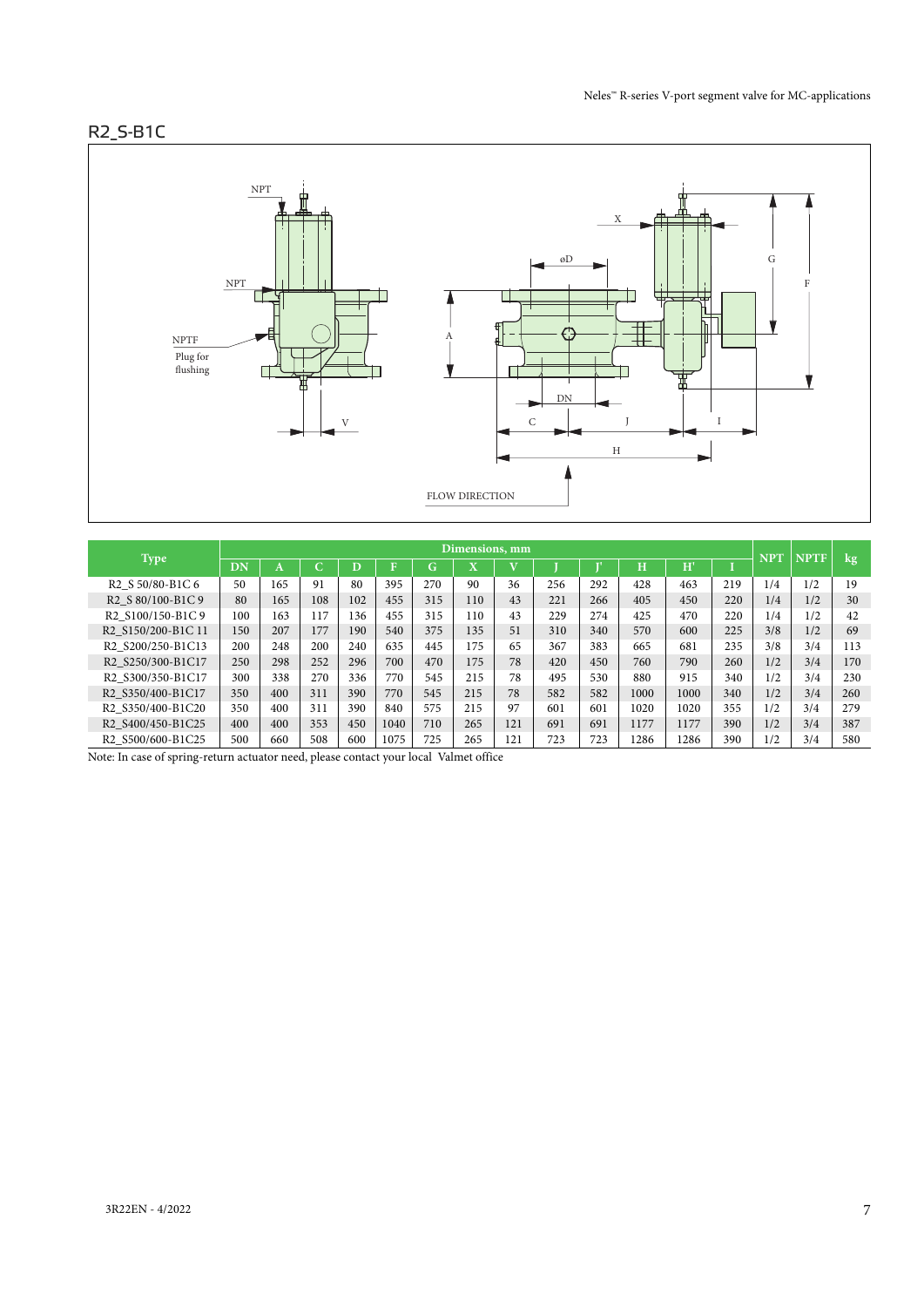## R2\_S-B1C



|                                                                     | Dimensions, mm |     |            |     |      |        |                         |     |     |     |      |      |     | <b>NPT</b> | <b>NPTF</b> |        |
|---------------------------------------------------------------------|----------------|-----|------------|-----|------|--------|-------------------------|-----|-----|-----|------|------|-----|------------|-------------|--------|
| <b>Type</b>                                                         | DN             | А   | $\sqrt{ }$ |     | в    | ⌒<br>G | $\overline{\mathbf{x}}$ |     |     |     | H    | H'   |     |            |             | $\log$ |
| R <sub>2</sub> S 50/80-B <sub>1</sub> C 6                           | 50             | 165 | 91         | 80  | 395  | 270    | 90                      | 36  | 256 | 292 | 428  | 463  | 219 | 1/4        | 1/2         | 19     |
| R <sub>2</sub> S 80/100-B <sub>1</sub> C 9                          | 80             | 165 | 108        | 102 | 455  | 315    | 110                     | 43  | 221 | 266 | 405  | 450  | 220 | 1/4        | 1/2         | 30     |
| R <sub>2</sub> S <sub>100</sub> /150-B <sub>1</sub> C <sub>9</sub>  | 100            | 163 | 117        | 136 | 455  | 315    | 110                     | 43  | 229 | 274 | 425  | 470  | 220 | 1/4        | 1/2         | 42     |
| R2 S150/200-B1C 11                                                  | 150            | 207 | 177        | 190 | 540  | 375    | 135                     | 51  | 310 | 340 | 570  | 600  | 225 | 3/8        | 1/2         | 69     |
| R <sub>2</sub> S <sub>200</sub> /250-B <sub>1</sub> C <sub>13</sub> | 200            | 248 | 200        | 240 | 635  | 445    | 175                     | 65  | 367 | 383 | 665  | 681  | 235 | 3/8        | 3/4         | 113    |
| R2 S250/300-B1C17                                                   | 250            | 298 | 252        | 296 | 700  | 470    | 175                     | 78  | 420 | 450 | 760  | 790  | 260 | 1/2        | 3/4         | 170    |
| R <sub>2</sub> S <sub>300</sub> /350-B <sub>1</sub> C <sub>17</sub> | 300            | 338 | 270        | 336 | 770  | 545    | 215                     | 78  | 495 | 530 | 880  | 915  | 340 | 1/2        | 3/4         | 230    |
| R2 S350/400-B1C17                                                   | 350            | 400 | 311        | 390 | 770  | 545    | 215                     | 78  | 582 | 582 | 1000 | 1000 | 340 | 1/2        | 3/4         | 260    |
| R2 S350/400-B1C20                                                   | 350            | 400 | 311        | 390 | 840  | 575    | 215                     | 97  | 601 | 601 | 1020 | 1020 | 355 | 1/2        | 3/4         | 279    |
| R <sub>2</sub> S <sub>400</sub> /450-B <sub>1</sub> C <sub>25</sub> | 400            | 400 | 353        | 450 | 1040 | 710    | 265                     | 121 | 691 | 691 | 1177 | 1177 | 390 | 1/2        | 3/4         | 387    |
| R2 S500/600-B1C25                                                   | 500            | 660 | 508        | 600 | 1075 | 725    | 265                     | 121 | 723 | 723 | 1286 | 1286 | 390 | 1/2        | 3/4         | 580    |

Note: In case of spring-return actuator need, please contact your local Valmet office